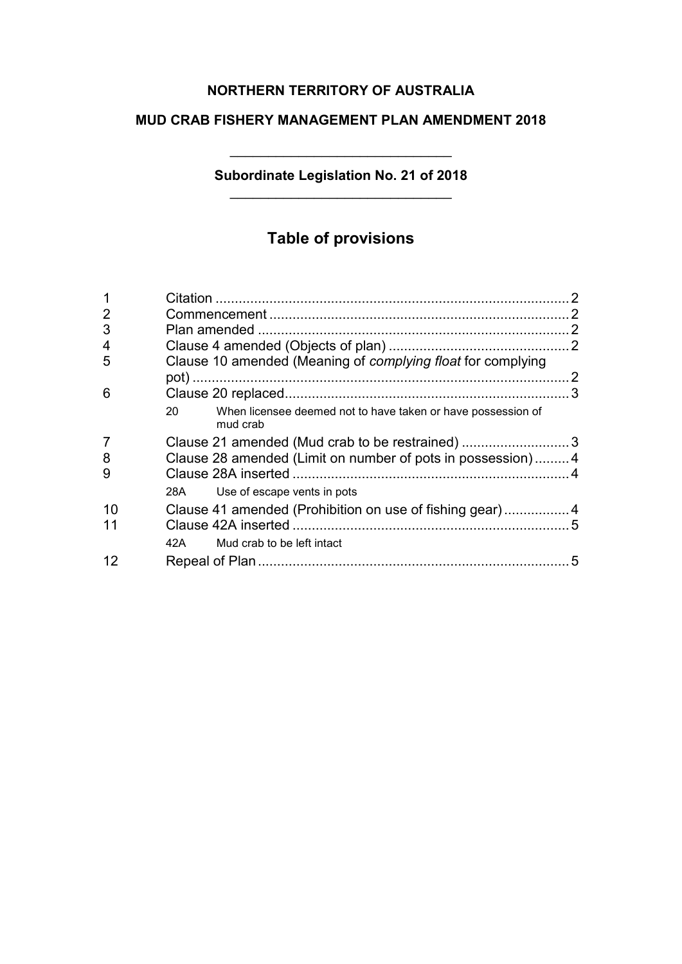# **NORTHERN TERRITORY OF AUSTRALIA**

## **MUD CRAB FISHERY MANAGEMENT PLAN AMENDMENT 2018**

## **Subordinate Legislation No. 21 of 2018** \_\_\_\_\_\_\_\_\_\_\_\_\_\_\_\_\_\_\_\_\_\_\_\_\_\_\_\_\_

\_\_\_\_\_\_\_\_\_\_\_\_\_\_\_\_\_\_\_\_\_\_\_\_\_\_\_\_\_

# **Table of provisions**

| 1              |    |                                                                          |   |
|----------------|----|--------------------------------------------------------------------------|---|
| $\overline{2}$ |    |                                                                          |   |
| 3              |    |                                                                          |   |
| 4              |    |                                                                          |   |
| 5              |    | Clause 10 amended (Meaning of complying float for complying              |   |
| 6              |    |                                                                          |   |
|                | 20 | When licensee deemed not to have taken or have possession of<br>mud crab |   |
| 7              |    | Clause 21 amended (Mud crab to be restrained) 3                          |   |
| 8              |    | Clause 28 amended (Limit on number of pots in possession)4               |   |
| 9              |    |                                                                          |   |
|                |    | 28A Use of escape vents in pots                                          |   |
| 10             |    | Clause 41 amended (Prohibition on use of fishing gear)4                  |   |
| 11             |    |                                                                          |   |
|                |    | 42A Mud crab to be left intact                                           |   |
| 12             |    |                                                                          | 5 |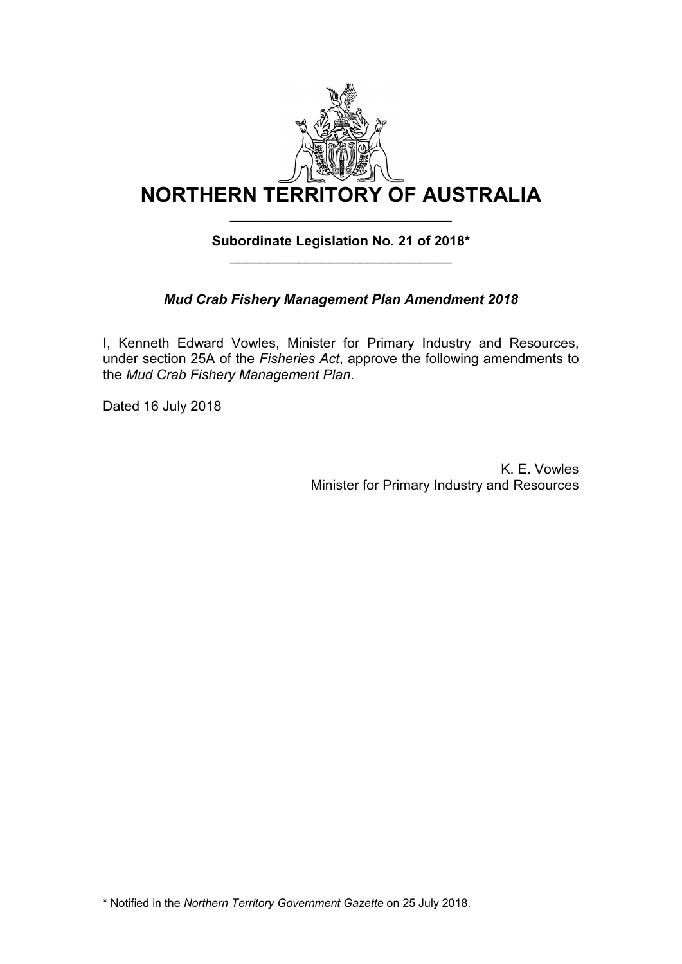

## **Subordinate Legislation No. 21 of 2018\*** \_\_\_\_\_\_\_\_\_\_\_\_\_\_\_\_\_\_\_\_\_\_\_\_\_\_\_\_\_

# *Mud Crab Fishery Management Plan Amendment 2018*

I, Kenneth Edward Vowles, Minister for Primary Industry and Resources, under section 25A of the *Fisheries Act*, approve the following amendments to the *Mud Crab Fishery Management Plan*.

Dated 16 July 2018

K. E. Vowles Minister for Primary Industry and Resources

\* Notified in the *Northern Territory Government Gazette* on 25 July 2018.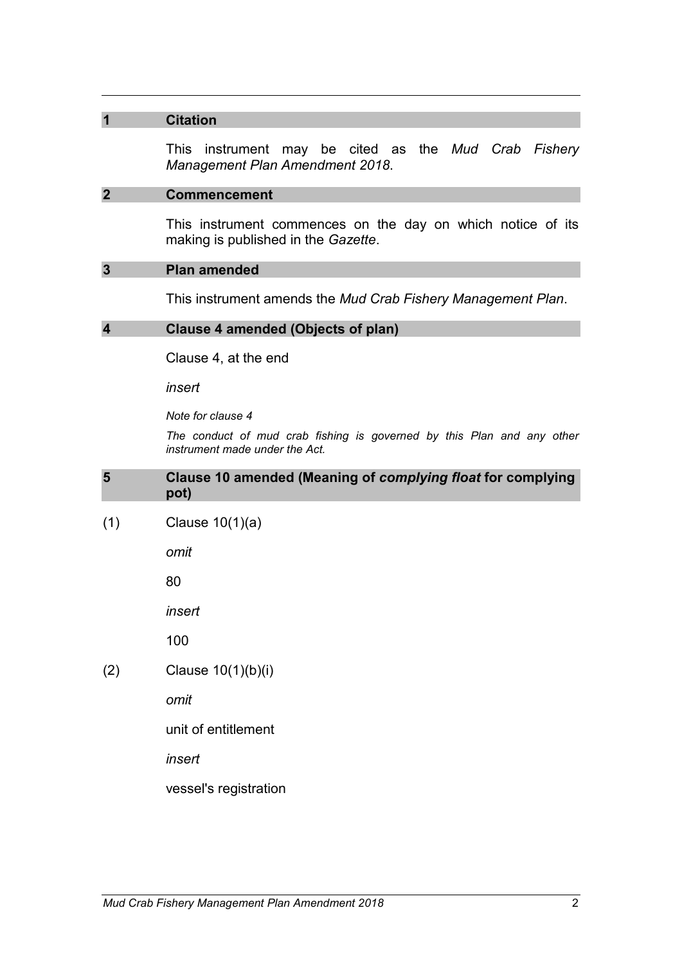#### **1 Citation**

This instrument may be cited as the *Mud Crab Fishery Management Plan Amendment 2018*.

#### **2 Commencement**

This instrument commences on the day on which notice of its making is published in the *Gazette*.

#### **3 Plan amended**

This instrument amends the *Mud Crab Fishery Management Plan*.

#### **4 Clause 4 amended (Objects of plan)**

Clause 4, at the end

*insert* 

*Note for clause 4*

*The conduct of mud crab fishing is governed by this Plan and any other instrument made under the Act.* 

#### **5 Clause 10 amended (Meaning of** *complying float* **for complying pot)**

(1) Clause 10(1)(a)

*omit*

80

*insert* 

100

(2) Clause 10(1)(b)(i)

*omit*

unit of entitlement

*insert*

vessel's registration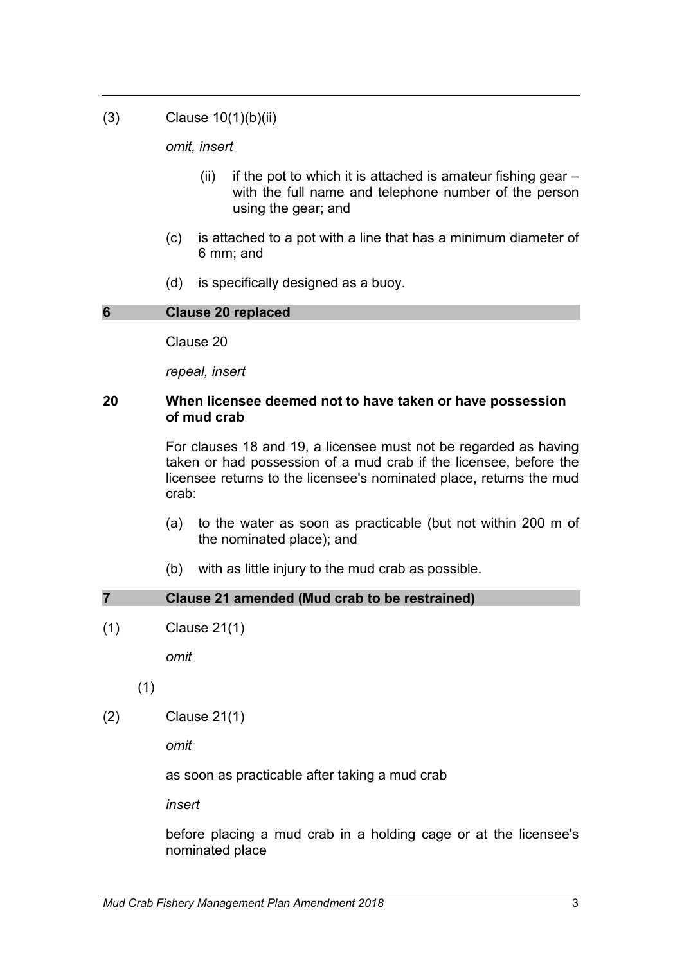(3) Clause 10(1)(b)(ii)

*omit, insert* 

- (ii) if the pot to which it is attached is amateur fishing gear  $$ with the full name and telephone number of the person using the gear; and
- (c) is attached to a pot with a line that has a minimum diameter of 6 mm; and
- (d) is specifically designed as a buoy.

#### **6 Clause 20 replaced**

Clause 20

*repeal, insert*

#### **20 When licensee deemed not to have taken or have possession of mud crab**

For clauses 18 and 19, a licensee must not be regarded as having taken or had possession of a mud crab if the licensee, before the licensee returns to the licensee's nominated place, returns the mud crab:

- (a) to the water as soon as practicable (but not within 200 m of the nominated place); and
- (b) with as little injury to the mud crab as possible.

# **7 Clause 21 amended (Mud crab to be restrained)**

(1) Clause 21(1)

*omit*

(1)

(2) Clause 21(1)

*omit*

as soon as practicable after taking a mud crab

*insert*

before placing a mud crab in a holding cage or at the licensee's nominated place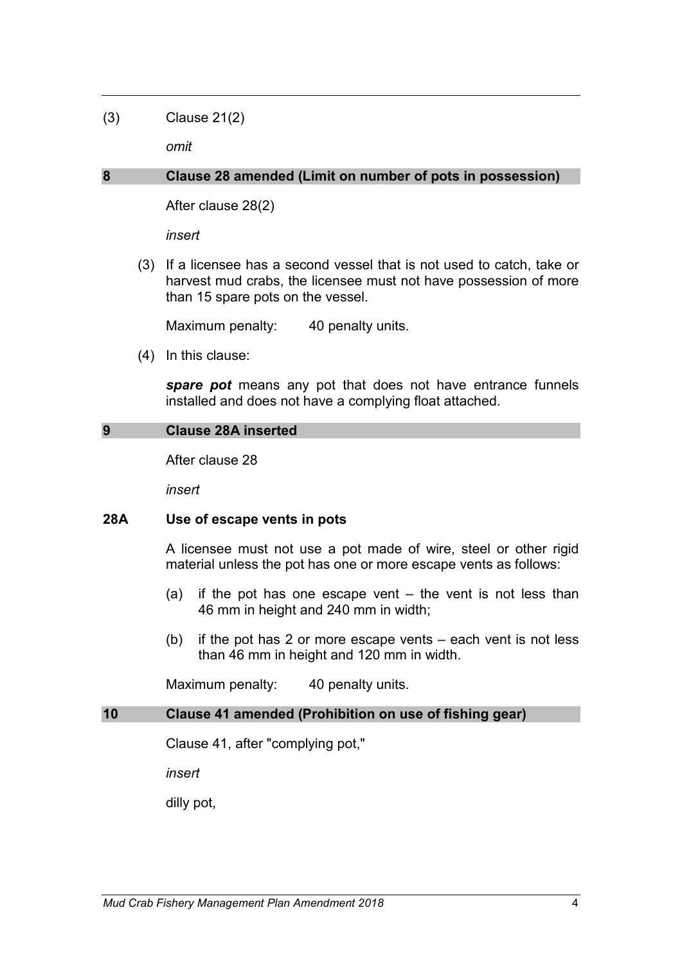## (3) Clause 21(2)

*omit*

#### **8 Clause 28 amended (Limit on number of pots in possession)**

After clause 28(2)

*insert*

(3) If a licensee has a second vessel that is not used to catch, take or harvest mud crabs, the licensee must not have possession of more than 15 spare pots on the vessel.

Maximum penalty: 40 penalty units.

(4) In this clause:

*spare pot* means any pot that does not have entrance funnels installed and does not have a complying float attached.

### **9 Clause 28A inserted**

After clause 28

*insert*

#### **28A Use of escape vents in pots**

A licensee must not use a pot made of wire, steel or other rigid material unless the pot has one or more escape vents as follows:

- (a) if the pot has one escape vent the vent is not less than 46 mm in height and 240 mm in width;
- (b) if the pot has 2 or more escape vents each vent is not less than 46 mm in height and 120 mm in width.

Maximum penalty: 40 penalty units.

#### **10 Clause 41 amended (Prohibition on use of fishing gear)**

Clause 41, after "complying pot,"

*insert* 

dilly pot,